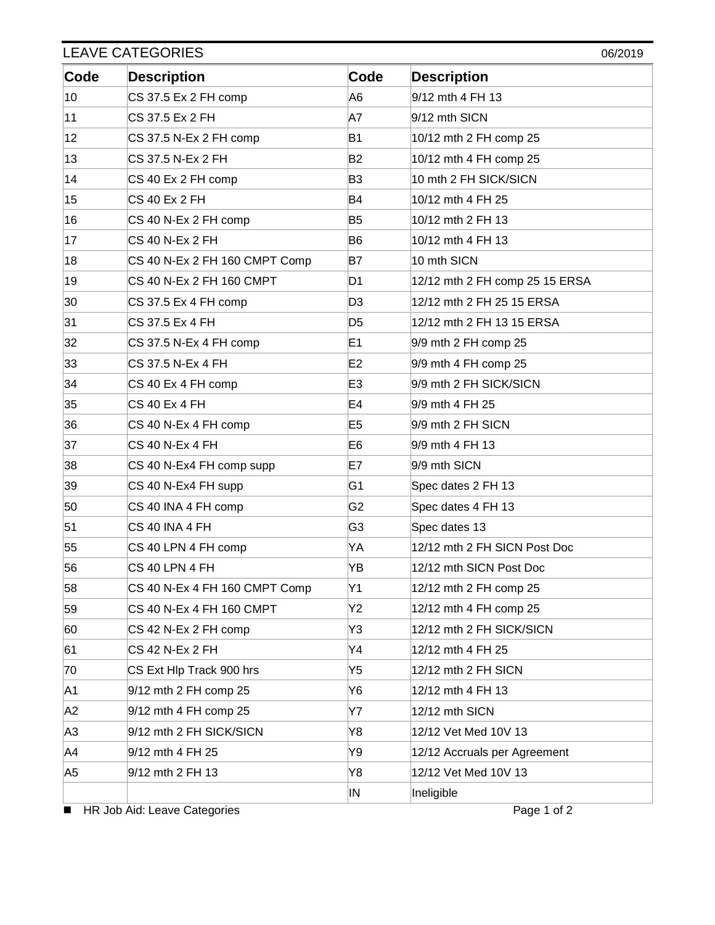| <b>LEAVE CATEGORIES</b><br>06/2019 |                               |                |                                |  |
|------------------------------------|-------------------------------|----------------|--------------------------------|--|
| Code                               | <b>Description</b>            | Code           | <b>Description</b>             |  |
| 10                                 | CS 37.5 Ex 2 FH comp          | A6             | 9/12 mth 4 FH 13               |  |
| 11                                 | CS 37.5 Ex 2 FH               | A7             | 9/12 mth SICN                  |  |
| 12                                 | CS 37.5 N-Ex 2 FH comp        | <b>B1</b>      | 10/12 mth 2 FH comp 25         |  |
| 13                                 | CS 37.5 N-Ex 2 FH             | <b>B2</b>      | 10/12 mth 4 FH comp 25         |  |
| 14                                 | CS 40 Ex 2 FH comp            | B <sub>3</sub> | 10 mth 2 FH SICK/SICN          |  |
| 15                                 | <b>CS 40 Ex 2 FH</b>          | <b>B4</b>      | 10/12 mth 4 FH 25              |  |
| 16                                 | CS 40 N-Ex 2 FH comp          | B <sub>5</sub> | 10/12 mth 2 FH 13              |  |
| 17                                 | <b>CS 40 N-Ex 2 FH</b>        | B <sub>6</sub> | 10/12 mth 4 FH 13              |  |
| 18                                 | CS 40 N-Ex 2 FH 160 CMPT Comp | <b>B7</b>      | 10 mth SICN                    |  |
| 19                                 | CS 40 N-Ex 2 FH 160 CMPT      | D1             | 12/12 mth 2 FH comp 25 15 ERSA |  |
| 30                                 | CS 37.5 Ex 4 FH comp          | D <sub>3</sub> | 12/12 mth 2 FH 25 15 ERSA      |  |
| 31                                 | CS 37.5 Ex 4 FH               | D <sub>5</sub> | 12/12 mth 2 FH 13 15 ERSA      |  |
| 32                                 | CS 37.5 N-Ex 4 FH comp        | E <sub>1</sub> | 9/9 mth 2 FH comp 25           |  |
| 33                                 | CS 37.5 N-Ex 4 FH             | E <sub>2</sub> | 9/9 mth 4 FH comp 25           |  |
| 34                                 | CS 40 Ex 4 FH comp            | E <sub>3</sub> | 9/9 mth 2 FH SICK/SICN         |  |
| 35                                 | <b>CS 40 Ex 4 FH</b>          | E <sub>4</sub> | 9/9 mth 4 FH 25                |  |
| 36                                 | CS 40 N-Ex 4 FH comp          | E <sub>5</sub> | 9/9 mth 2 FH SICN              |  |
| 37                                 | <b>CS 40 N-Ex 4 FH</b>        | E <sub>6</sub> | 9/9 mth 4 FH 13                |  |
| 38                                 | CS 40 N-Ex4 FH comp supp      | E7             | 9/9 mth SICN                   |  |
| 39                                 | CS 40 N-Ex4 FH supp           | G1             | Spec dates 2 FH 13             |  |
| 50                                 | CS 40 INA 4 FH comp           | G <sub>2</sub> | Spec dates 4 FH 13             |  |
| 51                                 | CS 40 INA 4 FH                | G3             | Spec dates 13                  |  |
| 55                                 | CS 40 LPN 4 FH comp           | YΑ             | 12/12 mth 2 FH SICN Post Doc   |  |
| 56                                 | CS 40 LPN 4 FH                | YΒ             | 12/12 mth SICN Post Doc        |  |
| 58                                 | CS 40 N-Ex 4 FH 160 CMPT Comp | Υ1             | 12/12 mth 2 FH comp 25         |  |
| 59                                 | CS 40 N-Ex 4 FH 160 CMPT      | Y2             | 12/12 mth 4 FH comp 25         |  |
| 60                                 | CS 42 N-Ex 2 FH comp          | Y3             | 12/12 mth 2 FH SICK/SICN       |  |
| 61                                 | <b>CS 42 N-Ex 2 FH</b>        | Y4             | 12/12 mth 4 FH 25              |  |
| 70                                 | CS Ext Hlp Track 900 hrs      | Y5             | 12/12 mth 2 FH SICN            |  |
| A1                                 | 9/12 mth 2 FH comp 25         | Y6             | 12/12 mth 4 FH 13              |  |
| A <sub>2</sub>                     | 9/12 mth 4 FH comp 25         | Υ7             | 12/12 mth SICN                 |  |
| A3                                 | 9/12 mth 2 FH SICK/SICN       | Y8             | 12/12 Vet Med 10V 13           |  |
| A4                                 | 9/12 mth 4 FH 25              | Y9             | 12/12 Accruals per Agreement   |  |
| A5                                 | 9/12 mth 2 FH 13              | Y8             | 12/12 Vet Med 10V 13           |  |
|                                    |                               | IN             | Ineligible                     |  |

■ HR Job Aid: Leave Categories Page 1 of 2